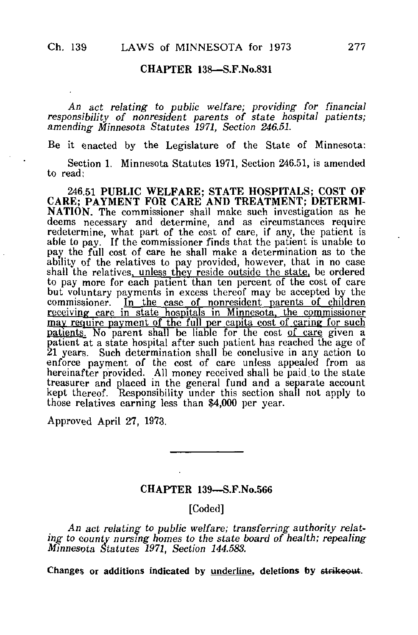## CHAPTER 138—S.F.No.831

An act relating to public welfare; providing for financial responsibility of nonresident parents of state hospital patients; amending Minnesota Statutes 1971, Section 246.51.

Be it enacted by the Legislature of the State of Minnesota:

Section 1. Minnesota Statutes 1971, Section 246.51, is amended to read;

246.51 PUBLIC WELFARE; STATE HOSPITALS; COST OF CARE; PAYMENT FOR CARE AND TREATMENT; DETERMI-NATION. The commissioner shall make such investigation as he deems necessary and determine, and as circumstances require redetermine, what part of the cost of care, if any, the patient is able to pay. If the commissioner finds that the patient is unable to pay the full cost of care he shall make a determination as to the ability of the relatives to pay provided, however, that in no case shall the relatives, unless they reside outside the state, be ordered to pay more for each patient than ten percent of the cost of care but voluntary payments in excess thereof may be accepted by the commissioner. In the case of nonresident parents of children receiving care in state hospitals in Minnesota, the commissioner may require payment of the full per capita cost of caring for such patients. No parent shall be liable for the cost of care given a patient at a state hospital after such patient has reached the age of 21 years. Such determination shall be conclusive in any action to enforce payment of the cost of care unless appealed from as hereinafter provided. All money received shall be paid to the state treasurer and placed in the general fund and a separate account kept thereof. Responsibility under this section shall not apply to those relatives earning less than \$4,000 per year.

Approved April 27, 1973.

## CHAPTER 139—S.F.No.566

[Coded]

An act relating to public welfare; transferring authority relating to county nursing homes to the state board of health; repealing Minnesota Statutes 1971, Section 144.583.

Changes or additions indicated by underline, deletions by strikeout.